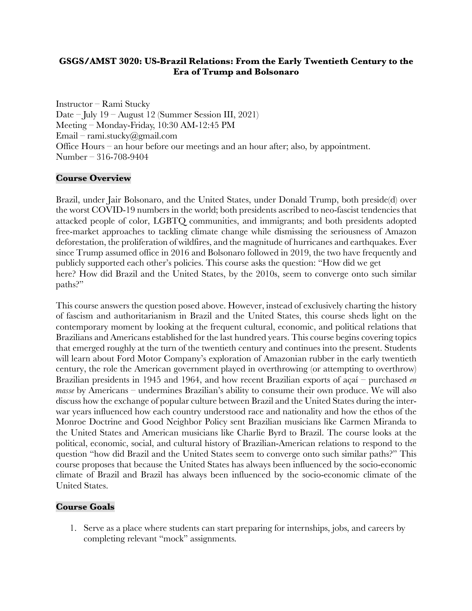## **GSGS/AMST 3020: US-Brazil Relations: From the Early Twentieth Century to the Era of Trump and Bolsonaro**

Instructor – Rami Stucky Date – July 19 – August 12 (Summer Session III, 2021) Meeting – Monday-Friday, 10:30 AM-12:45 PM Email – rami.stucky@gmail.com Office Hours – an hour before our meetings and an hour after; also, by appointment. Number – 316-708-9404

# **Course Overview**

Brazil, under Jair Bolsonaro, and the United States, under Donald Trump, both preside(d) over the worst COVID-19 numbers in the world; both presidents ascribed to neo-fascist tendencies that attacked people of color, LGBTQ communities, and immigrants; and both presidents adopted free-market approaches to tackling climate change while dismissing the seriousness of Amazon deforestation, the proliferation of wildfires, and the magnitude of hurricanes and earthquakes. Ever since Trump assumed office in 2016 and Bolsonaro followed in 2019, the two have frequently and publicly supported each other's policies. This course asks the question: "How did we get here? How did Brazil and the United States, by the 2010s, seem to converge onto such similar paths?"

This course answers the question posed above. However, instead of exclusively charting the history of fascism and authoritarianism in Brazil and the United States, this course sheds light on the contemporary moment by looking at the frequent cultural, economic, and political relations that Brazilians and Americans established for the last hundred years. This course begins covering topics that emerged roughly at the turn of the twentieth century and continues into the present. Students will learn about Ford Motor Company's exploration of Amazonian rubber in the early twentieth century, the role the American government played in overthrowing (or attempting to overthrow) Brazilian presidents in 1945 and 1964, and how recent Brazilian exports of açaí – purchased *en masse* by Americans – undermines Brazilian's ability to consume their own produce. We will also discuss how the exchange of popular culture between Brazil and the United States during the interwar years influenced how each country understood race and nationality and how the ethos of the Monroe Doctrine and Good Neighbor Policy sent Brazilian musicians like Carmen Miranda to the United States and American musicians like Charlie Byrd to Brazil. The course looks at the political, economic, social, and cultural history of Brazilian-American relations to respond to the question "how did Brazil and the United States seem to converge onto such similar paths?" This course proposes that because the United States has always been influenced by the socio-economic climate of Brazil and Brazil has always been influenced by the socio-economic climate of the United States.

# **Course Goals**

1. Serve as a place where students can start preparing for internships, jobs, and careers by completing relevant "mock" assignments.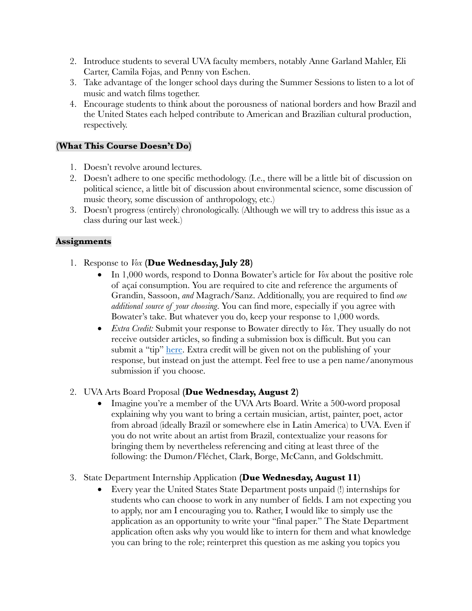- 2. Introduce students to several UVA faculty members, notably Anne Garland Mahler, Eli Carter, Camila Fojas, and Penny von Eschen.
- 3. Take advantage of the longer school days during the Summer Sessions to listen to a lot of music and watch films together.
- 4. Encourage students to think about the porousness of national borders and how Brazil and the United States each helped contribute to American and Brazilian cultural production, respectively.

# **(What This Course Doesn't Do)**

- 1. Doesn't revolve around lectures.
- 2. Doesn't adhere to one specific methodology. (I.e., there will be a little bit of discussion on political science, a little bit of discussion about environmental science, some discussion of music theory, some discussion of anthropology, etc.)
- 3. Doesn't progress (entirely) chronologically. (Although we will try to address this issue as a class during our last week.)

# **Assignments**

- 1. Response to *Vox* **(Due Wednesday, July 28)**
	- In 1,000 words, respond to Donna Bowater's article for *Vox* about the positive role of açaí consumption. You are required to cite and reference the arguments of Grandin, Sassoon, *and* Magrach/Sanz. Additionally, you are required to find *one additional source of your choosing*. You can find more, especially if you agree with Bowater's take. But whatever you do, keep your response to 1,000 words.
	- *Extra Credit:* Submit your response to Bowater directly to *Vox*. They usually do not receive outsider articles, so finding a submission box is difficult. But you can submit a "tip" here. Extra credit will be given not on the publishing of your response, but instead on just the attempt. Feel free to use a pen name/anonymous submission if you choose.

# 2. UVA Arts Board Proposal **(Due Wednesday, August 2)**

- Imagine you're a member of the UVA Arts Board. Write a 500-word proposal explaining why you want to bring a certain musician, artist, painter, poet, actor from abroad (ideally Brazil or somewhere else in Latin America) to UVA. Even if you do not write about an artist from Brazil, contextualize your reasons for bringing them by nevertheless referencing and citing at least three of the following: the Dumon/Fléchet, Clark, Borge, McCann, and Goldschmitt.
- 3. State Department Internship Application **(Due Wednesday, August 11)** 
	- Every year the United States State Department posts unpaid (!) internships for students who can choose to work in any number of fields. I am not expecting you to apply, nor am I encouraging you to. Rather, I would like to simply use the application as an opportunity to write your "final paper." The State Department application often asks why you would like to intern for them and what knowledge you can bring to the role; reinterpret this question as me asking you topics you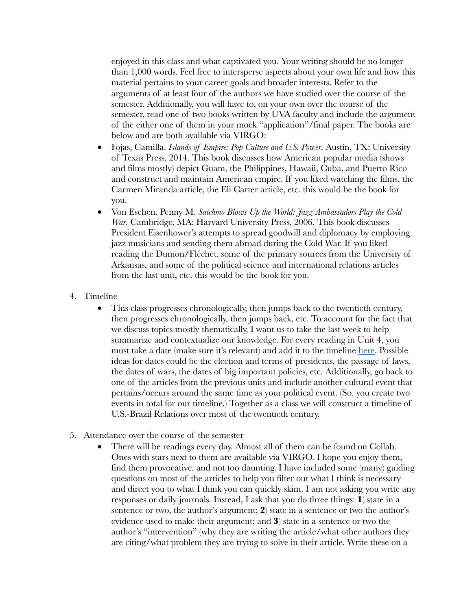enjoyed in this class and what captivated you. Your writing should be no longer than 1,000 words. Feel free to intersperse aspects about your own life and how this material pertains to your career goals and broader interests. Refer to the arguments of at least four of the authors we have studied over the course of the semester. Additionally, you will have to, on your own over the course of the semester, read one of two books written by UVA faculty and include the argument of the either one of them in your mock "application"/final paper. The books are below and are both available via VIRGO:

- Fojas, Camilla. *Islands of Empire: Pop Culture and U.S. Power*. Austin, TX: University of Texas Press, 2014. This book discusses how American popular media (shows and films mostly) depict Guam, the Philippines, Hawaii, Cuba, and Puerto Rico and construct and maintain American empire. If you liked watching the films, the Carmen Miranda article, the Eli Carter article, etc. this would be the book for you.
- Von Eschen, Penny M. *Satchmo Blows Up the World: Jazz Ambassadors Play the Cold War*. Cambridge, MA: Harvard University Press, 2006. This book discusses President Eisenhower's attempts to spread goodwill and diplomacy by employing jazz musicians and sending them abroad during the Cold War. If you liked reading the Dumon/Fléchet, some of the primary sources from the University of Arkansas, and some of the political science and international relations articles from the last unit, etc. this would be the book for you.
- 4. Timeline
	- This class progresses chronologically, then jumps back to the twentieth century, then progresses chronologically, then jumps back, etc. To account for the fact that we discuss topics mostly thematically, I want us to take the last week to help summarize and contextualize our knowledge. For every reading in Unit 4, you must take a date (make sure it's relevant) and add it to the timeline here. Possible ideas for dates could be the election and terms of presidents, the passage of laws, the dates of wars, the dates of big important policies, etc. Additionally, go back to one of the articles from the previous units and include another cultural event that pertains/occurs around the same time as your political event. (So, you create two events in total for our timeline.) Together as a class we will construct a timeline of U.S.-Brazil Relations over most of the twentieth century.
- 5. Attendance over the course of the semester
	- There will be readings every day. Almost all of them can be found on Collab. Ones with stars next to them are available via VIRGO. I hope you enjoy them, find them provocative, and not too daunting. I have included some (many) guiding questions on most of the articles to help you filter out what I think is necessary and direct you to what I think you can quickly skim. I am not asking you write any responses or daily journals. Instead, I ask that you do three things: **1**) state in a sentence or two, the author's argument; **2**) state in a sentence or two the author's evidence used to make their argument; and **3**) state in a sentence or two the author's "intervention" (why they are writing the article/what other authors they are citing/what problem they are trying to solve in their article. Write these on a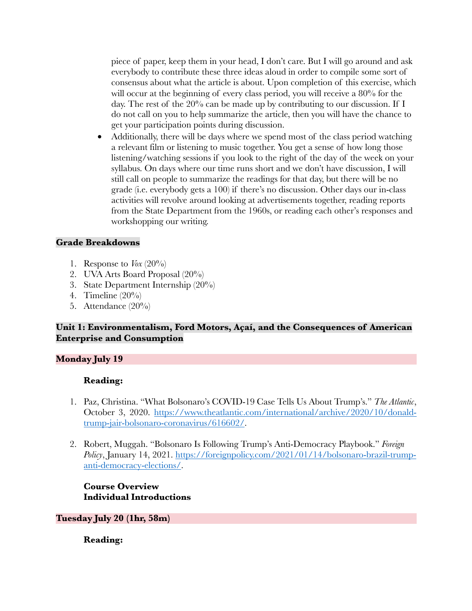piece of paper, keep them in your head, I don't care. But I will go around and ask everybody to contribute these three ideas aloud in order to compile some sort of consensus about what the article is about. Upon completion of this exercise, which will occur at the beginning of every class period, you will receive a 80% for the day. The rest of the 20% can be made up by contributing to our discussion. If I do not call on you to help summarize the article, then you will have the chance to get your participation points during discussion.

• Additionally, there will be days where we spend most of the class period watching a relevant film or listening to music together. You get a sense of how long those listening/watching sessions if you look to the right of the day of the week on your syllabus. On days where our time runs short and we don't have discussion, I will still call on people to summarize the readings for that day, but there will be no grade (i.e. everybody gets a 100) if there's no discussion. Other days our in-class activities will revolve around looking at advertisements together, reading reports from the State Department from the 1960s, or reading each other's responses and workshopping our writing.

# **Grade Breakdowns**

- 1. Response to  $V$ ox  $(20\%)$
- 2. UVA Arts Board Proposal (20%)
- 3. State Department Internship (20%)
- 4. Timeline (20%)
- 5. Attendance (20%)

## **Unit 1: Environmentalism, Ford Motors, Açaí, and the Consequences of American Enterprise and Consumption**

### **Monday July 19**

### **Reading:**

- 1. Paz, Christina. "What Bolsonaro's COVID-19 Case Tells Us About Trump's." *The Atlantic*, October 3, 2020. https://www.theatlantic.com/international/archive/2020/10/donaldtrump-jair-bolsonaro-coronavirus/616602/.
- 2. Robert, Muggah. "Bolsonaro Is Following Trump's Anti-Democracy Playbook." *Foreign Policy*, January 14, 2021. https://foreignpolicy.com/2021/01/14/bolsonaro-brazil-trumpanti-democracy-elections/.

**Course Overview Individual Introductions**

### **Tuesday July 20 (1hr, 58m)**

**Reading:**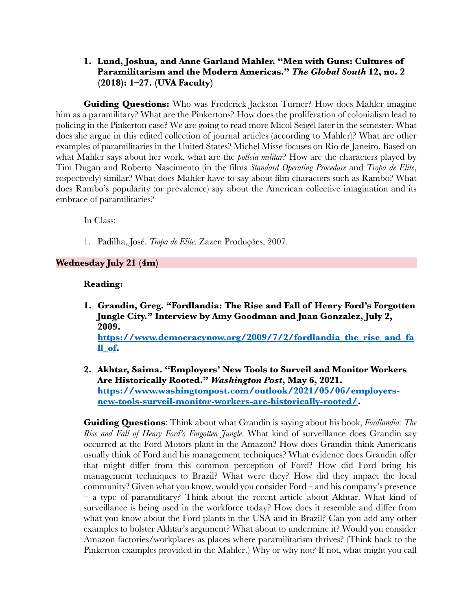## **1. Lund, Joshua, and Anne Garland Mahler. "Men with Guns: Cultures of Paramilitarism and the Modern Americas."** *The Global South* **12, no. 2 (2018): 1–27. (UVA Faculty)**

**Guiding Questions:** Who was Frederick Jackson Turner? How does Mahler imagine him as a paramilitary? What are the Pinkertons? How does the proliferation of colonialism lead to policing in the Pinkerton case? We are going to read more Micol Seigel later in the semester. What does she argue in this edited collection of journal articles (according to Mahler)? What are other examples of paramilitaries in the United States? Michel Misse focuses on Rio de Janeiro. Based on what Mahler says about her work, what are the *polícia militar*? How are the characters played by Tim Dugan and Roberto Nascimento (in the films *Standard Operating Procedure* and *Tropa de Elite*, respectively) similar? What does Mahler have to say about film characters such as Rambo? What does Rambo's popularity (or prevalence) say about the American collective imagination and its embrace of paramilitaries?

In Class:

1. Padilha, José. *Tropa de Elite*. Zazen Produções, 2007.

# **Wednesday July 21 (4m)**

## **Reading:**

- **1. Grandin, Greg. "Fordlandia: The Rise and Fall of Henry Ford's Forgotten Jungle City." Interview by Amy Goodman and Juan Gonzalez, July 2, 2009. https://www.democracynow.org/2009/7/2/fordlandia\_the\_rise\_and\_fa ll\_of.**
- **2. Akhtar, Saima. "Employers' New Tools to Surveil and Monitor Workers Are Historically Rooted."** *Washington Post***, May 6, 2021. https://www.washingtonpost.com/outlook/2021/05/06/employersnew-tools-surveil-monitor-workers-are-historically-rooted/.**

**Guiding Questions**: Think about what Grandin is saying about his book, *Fordlandia: The Rise and Fall of Henry Ford's Forgotten Jungle*. What kind of surveillance does Grandin say occurred at the Ford Motors plant in the Amazon? How does Grandin think Americans usually think of Ford and his management techniques? What evidence does Grandin offer that might differ from this common perception of Ford? How did Ford bring his management techniques to Brazil? What were they? How did they impact the local community? Given what you know, would you consider Ford – and his company's presence – a type of paramilitary? Think about the recent article about Akhtar. What kind of surveillance is being used in the workforce today? How does it resemble and differ from what you know about the Ford plants in the USA and in Brazil? Can you add any other examples to bolster Akhtar's argument? What about to undermine it? Would you consider Amazon factories/workplaces as places where paramilitarism thrives? (Think back to the Pinkerton examples provided in the Mahler.) Why or why not? If not, what might you call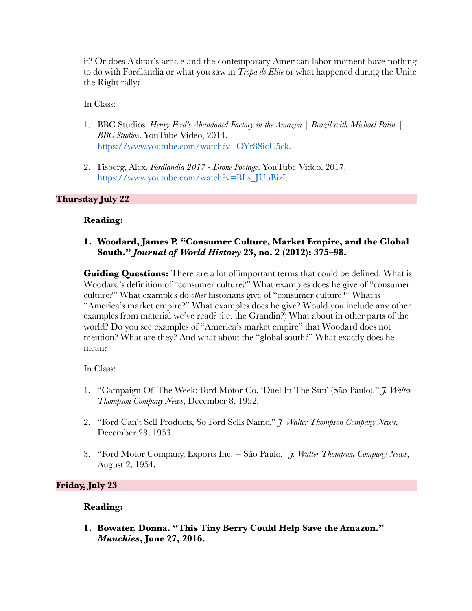it? Or does Akhtar's article and the contemporary American labor moment have nothing to do with Fordlandia or what you saw in *Tropa de Elite* or what happened during the Unite the Right rally?

In Class:

- 1. BBC Studios. *Henry Ford's Abandoned Factory in the Amazon | Brazil with Michael Palin | BBC Studios*. YouTube Video, 2014. https://www.youtube.com/watch?v=OYr8SicU5ck.
- 2. Fisberg, Alex. *Fordlandia 2017 - Drone Footage*. YouTube Video, 2017. https://www.youtube.com/watch?v=BLs\_JUuBizI.

# **Thursday July 22**

## **Reading:**

### **1. Woodard, James P. "Consumer Culture, Market Empire, and the Global South."** *Journal of World History* **23, no. 2 (2012): 375–98.**

**Guiding Questions:** There are a lot of important terms that could be defined. What is Woodard's definition of "consumer culture?" What examples does he give of "consumer culture?" What examples do *other* historians give of "consumer culture?" What is "America's market empire?" What examples does he give? Would you include any other examples from material we've read? (i.e. the Grandin?) What about in other parts of the world? Do you see examples of "America's market empire" that Woodard does not mention? What are they? And what about the "global south?" What exactly does he mean?

In Class:

- 1. "Campaign Of The Week: Ford Motor Co. 'Duel In The Sun' (São Paulo)." *J. Walter Thompson Company News*, December 8, 1952.
- 2. "Ford Can't Sell Products, So Ford Sells Name." *J. Walter Thompson Company News*, December 28, 1953.
- 3. "Ford Motor Company, Exports Inc. -- São Paulo." *J. Walter Thompson Company News*, August 2, 1954.

# **Friday, July 23**

# **Reading:**

**1. Bowater, Donna. "This Tiny Berry Could Help Save the Amazon."**  *Munchies***, June 27, 2016.**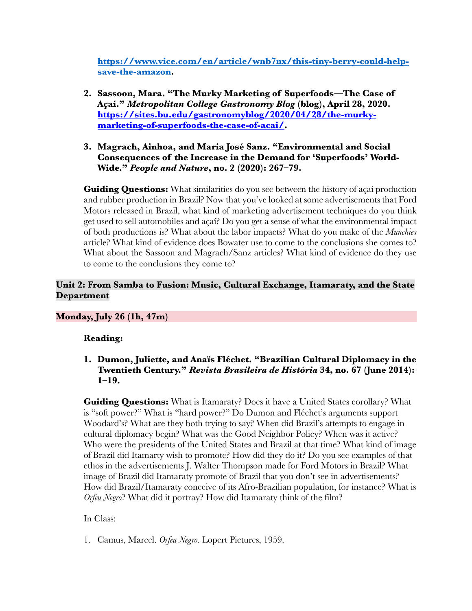**https://www.vice.com/en/article/wnb7nx/this-tiny-berry-could-helpsave-the-amazon.**

- **2. Sassoon, Mara. "The Murky Marketing of Superfoods—The Case of Açaí."** *Metropolitan College Gastronomy Blog* **(blog), April 28, 2020. https://sites.bu.edu/gastronomyblog/2020/04/28/the-murkymarketing-of-superfoods-the-case-of-acai/.**
- **3. Magrach, Ainhoa, and Maria José Sanz. "Environmental and Social Consequences of the Increase in the Demand for 'Superfoods' World-Wide."** *People and Nature***, no. 2 (2020): 267–79.**

**Guiding Questions:** What similarities do you see between the history of açaí production and rubber production in Brazil? Now that you've looked at some advertisements that Ford Motors released in Brazil, what kind of marketing advertisement techniques do you think get used to sell automobiles and açaí? Do you get a sense of what the environmental impact of both productions is? What about the labor impacts? What do you make of the *Munchies*  article? What kind of evidence does Bowater use to come to the conclusions she comes to? What about the Sassoon and Magrach/Sanz articles? What kind of evidence do they use to come to the conclusions they come to?

# **Unit 2: From Samba to Fusion: Music, Cultural Exchange, Itamaraty, and the State Department**

# **Monday, July 26 (1h, 47m)**

### **Reading:**

**1. Dumon, Juliette, and Anaïs Fléchet. "Brazilian Cultural Diplomacy in the Twentieth Century."** *Revista Brasileira de História* **34, no. 67 (June 2014): 1–19.**

**Guiding Questions:** What is Itamaraty? Does it have a United States corollary? What is "soft power?" What is "hard power?" Do Dumon and Fléchet's arguments support Woodard's? What are they both trying to say? When did Brazil's attempts to engage in cultural diplomacy begin? What was the Good Neighbor Policy? When was it active? Who were the presidents of the United States and Brazil at that time? What kind of image of Brazil did Itamarty wish to promote? How did they do it? Do you see examples of that ethos in the advertisements J. Walter Thompson made for Ford Motors in Brazil? What image of Brazil did Itamaraty promote of Brazil that you don't see in advertisements? How did Brazil/Itamaraty conceive of its Afro-Brazilian population, for instance? What is *Orfeu Negro*? What did it portray? How did Itamaraty think of the film?

### In Class:

1. Camus, Marcel. *Orfeu Negro*. Lopert Pictures, 1959.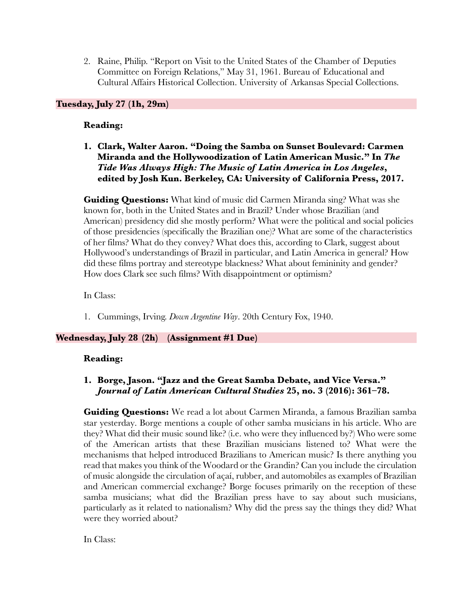2. Raine, Philip. "Report on Visit to the United States of the Chamber of Deputies Committee on Foreign Relations," May 31, 1961. Bureau of Educational and Cultural Affairs Historical Collection. University of Arkansas Special Collections.

## **Tuesday, July 27 (1h, 29m)**

### **Reading:**

**1. Clark, Walter Aaron. "Doing the Samba on Sunset Boulevard: Carmen Miranda and the Hollywoodization of Latin American Music." In** *The Tide Was Always High: The Music of Latin America in Los Angeles***, edited by Josh Kun. Berkeley, CA: University of California Press, 2017.**

**Guiding Questions:** What kind of music did Carmen Miranda sing? What was she known for, both in the United States and in Brazil? Under whose Brazilian (and American) presidency did she mostly perform? What were the political and social policies of those presidencies (specifically the Brazilian one)? What are some of the characteristics of her films? What do they convey? What does this, according to Clark, suggest about Hollywood's understandings of Brazil in particular, and Latin America in general? How did these films portray and stereotype blackness? What about femininity and gender? How does Clark see such films? With disappointment or optimism?

In Class:

1. Cummings, Irving. *Down Argentine Way*. 20th Century Fox, 1940.

### **Wednesday, July 28 (2h) (Assignment #1 Due)**

### **Reading:**

## **1. Borge, Jason. "Jazz and the Great Samba Debate, and Vice Versa."**  *Journal of Latin American Cultural Studies* **25, no. 3 (2016): 361–78.**

**Guiding Questions:** We read a lot about Carmen Miranda, a famous Brazilian samba star yesterday. Borge mentions a couple of other samba musicians in his article. Who are they? What did their music sound like? (i.e. who were they influenced by?) Who were some of the American artists that these Brazilian musicians listened to? What were the mechanisms that helped introduced Brazilians to American music? Is there anything you read that makes you think of the Woodard or the Grandin? Can you include the circulation of music alongside the circulation of açaí, rubber, and automobiles as examples of Brazilian and American commercial exchange? Borge focuses primarily on the reception of these samba musicians; what did the Brazilian press have to say about such musicians, particularly as it related to nationalism? Why did the press say the things they did? What were they worried about?

In Class: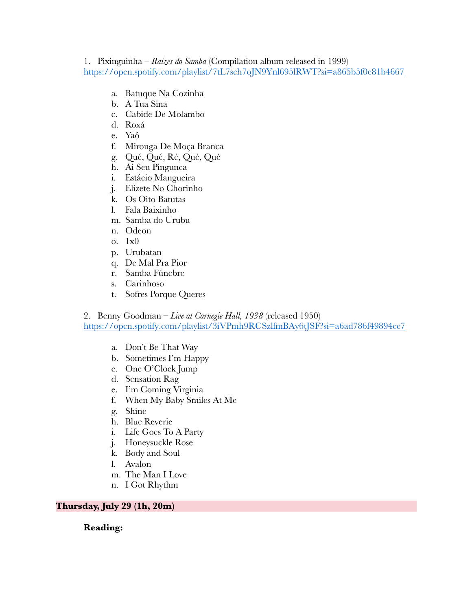## 1. Pixinguinha – *Raizes do Samba* (Compilation album released in 1999) https://open.spotify.com/playlist/7tL7sch7oJN9Ynl695lRWT?si=a865b5f0e81b4667

- a. Batuque Na Cozinha
- b. A Tua Sina
- c. Cabide De Molambo
- d. Roxá
- e. Yaô
- f. Mironga De Moça Branca
- g. Qué, Qué, Ré, Qué, Qué
- h. Aí Seu Pingunca
- i. Estácio Mangueira
- j. Elizete No Chorinho
- k. Os Oito Batutas
- l. Fala Baixinho
- m. Samba do Urubu
- n. Odeon
- o. 1x0
- p. Urubatan
- q. De Mal Pra Pior
- r. Samba Fúnebre
- s. Carinhoso
- t. Sofres Porque Queres

2. Benny Goodman – *Live at Carnegie Hall, 1938* (released 1950)

https://open.spotify.com/playlist/3iVPmh9RCSzlfmBAy6tJSF?si=a6ad786f49894cc7

- a. Don't Be That Way
- b. Sometimes I'm Happy
- c. One O'Clock Jump
- d. Sensation Rag
- e. I'm Coming Virginia
- f. When My Baby Smiles At Me
- g. Shine
- h. Blue Reverie
- i. Life Goes To A Party
- j. Honeysuckle Rose
- k. Body and Soul
- l. Avalon
- m. The Man I Love
- n. I Got Rhythm

### **Thursday, July 29 (1h, 20m)**

### **Reading:**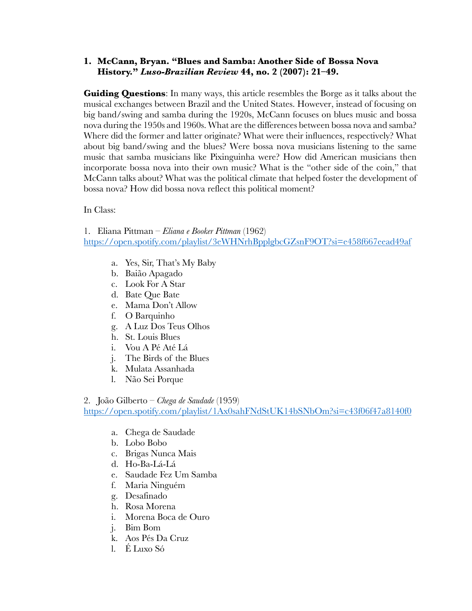## **1. McCann, Bryan. "Blues and Samba: Another Side of Bossa Nova History."** *Luso-Brazilian Review* **44, no. 2 (2007): 21–49.**

**Guiding Questions**: In many ways, this article resembles the Borge as it talks about the musical exchanges between Brazil and the United States. However, instead of focusing on big band/swing and samba during the 1920s, McCann focuses on blues music and bossa nova during the 1950s and 1960s. What are the differences between bossa nova and samba? Where did the former and latter originate? What were their influences, respectively? What about big band/swing and the blues? Were bossa nova musicians listening to the same music that samba musicians like Pixinguinha were? How did American musicians then incorporate bossa nova into their own music? What is the "other side of the coin," that McCann talks about? What was the political climate that helped foster the development of bossa nova? How did bossa nova reflect this political moment?

In Class:

1. Eliana Pittman – *Eliana e Booker Pittman* (1962)

https://open.spotify.com/playlist/3eWHNrhBpplgbcGZsnF9OT?si=e458f667eead49af

- a. Yes, Sir, That's My Baby
- b. Baião Apagado
- c. Look For A Star
- d. Bate Que Bate
- e. Mama Don't Allow
- f. O Barquinho
- g. A Luz Dos Teus Olhos
- h. St. Louis Blues
- i. Vou A Pé Até Lá
- j. The Birds of the Blues
- k. Mulata Assanhada
- l. Não Sei Porque
- 2. João Gilberto *Chega de Saudade* (1959)

https://open.spotify.com/playlist/1Ax0sahFNdStUK14bSNbOm?si=c43f06f47a8140f0

- a. Chega de Saudade
- b. Lobo Bobo
- c. Brigas Nunca Mais
- d. Ho-Ba-Lá-Lá
- e. Saudade Fez Um Samba
- f. Maria Ninguém
- g. Desafinado
- h. Rosa Morena
- i. Morena Boca de Ouro
- j. Bim Bom
- k. Aos Pés Da Cruz
- l. É Luxo Só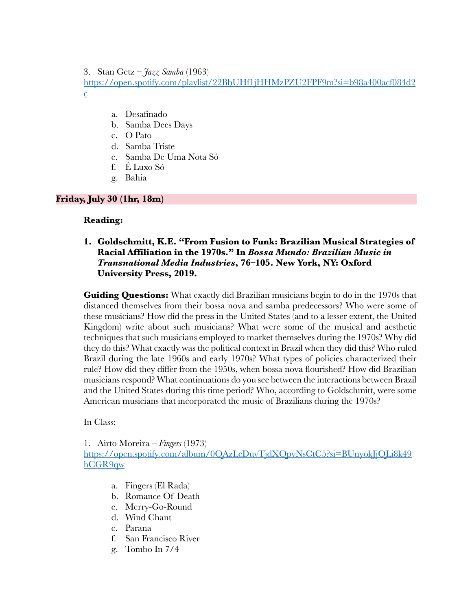3. Stan Getz – *Jazz Samba* (1963)

https://open.spotify.com/playlist/22BbUHf1jHHMzPZU2FPF9m?si=b98a400acf084d2 c

- a. Desafinado
- b. Samba Dees Days
- c. O Pato
- d. Samba Triste
- e. Samba De Uma Nota Só
- f. É Luxo Só
- g. Bahia

## **Friday, July 30 (1hr, 18m)**

### **Reading:**

## **1. Goldschmitt, K.E. "From Fusion to Funk: Brazilian Musical Strategies of Racial Affiliation in the 1970s." In** *Bossa Mundo: Brazilian Music in Transnational Media Industries***, 76–105. New York, NY: Oxford University Press, 2019.**

**Guiding Questions:** What exactly did Brazilian musicians begin to do in the 1970s that distanced themselves from their bossa nova and samba predecessors? Who were some of these musicians? How did the press in the United States (and to a lesser extent, the United Kingdom) write about such musicians? What were some of the musical and aesthetic techniques that such musicians employed to market themselves during the 1970s? Why did they do this? What exactly was the political context in Brazil when they did this? Who ruled Brazil during the late 1960s and early 1970s? What types of policies characterized their rule? How did they differ from the 1950s, when bossa nova flourished? How did Brazilian musicians respond? What continuations do you see between the interactions between Brazil and the United States during this time period? Who, according to Goldschmitt, were some American musicians that incorporated the music of Brazilians during the 1970s?

In Class:

1. Airto Moreira – *Fingers* (1973)

https://open.spotify.com/album/0QAzLcDuvTjdXQpvNsCtC5?si=BUnyokJjQLi8k49 hCGR9qw

- a. Fingers (El Rada)
- b. Romance Of Death
- c. Merry-Go-Round
- d. Wind Chant
- e. Parana
- f. San Francisco River
- g. Tombo In 7/4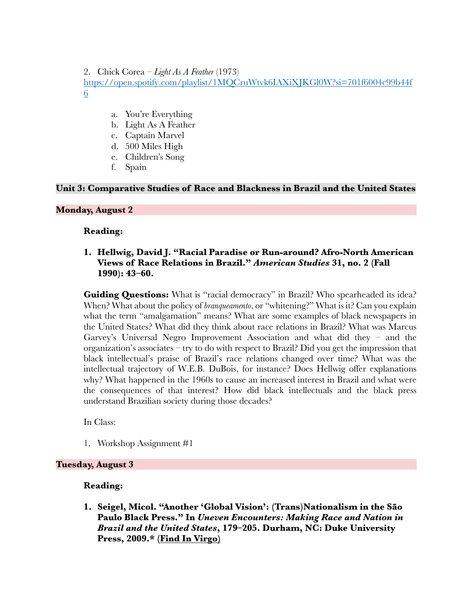2. Chick Corea – *Light As A Feather* (1973) https://open.spotify.com/playlist/1MQCruWtvk6IAXiXJKGl0W?si=701f6004c99b44f 6

- a. You're Everything
- b. Light As A Feather
- c. Captain Marvel
- d. 500 Miles High
- e. Children's Song
- f. Spain

### **Unit 3: Comparative Studies of Race and Blackness in Brazil and the United States**

#### **Monday, August 2**

#### **Reading:**

### **1. Hellwig, David J. "Racial Paradise or Run-around? Afro-North American Views of Race Relations in Brazil."** *American Studies* **31, no. 2 (Fall 1990): 43–60.**

**Guiding Questions:** What is "racial democracy" in Brazil? Who spearheaded its idea? When? What about the policy of *branqueamento*, or "whitening?" What is it? Can you explain what the term "amalgamation" means? What are some examples of black newspapers in the United States? What did they think about race relations in Brazil? What was Marcus Garvey's Universal Negro Improvement Association and what did they – and the organization's associates – try to do with respect to Brazil? Did you get the impression that black intellectual's praise of Brazil's race relations changed over time? What was the intellectual trajectory of W.E.B. DuBois, for instance? Does Hellwig offer explanations why? What happened in the 1960s to cause an increased interest in Brazil and what were the consequences of that interest? How did black intellectuals and the black press understand Brazilian society during those decades?

In Class:

1. Workshop Assignment #1

### **Tuesday, August 3**

### **Reading:**

**1. Seigel, Micol. "Another 'Global Vision': (Trans)Nationalism in the São Paulo Black Press." In** *Uneven Encounters: Making Race and Nation in Brazil and the United States***, 179–205. Durham, NC: Duke University Press, 2009.\* (Find In Virgo)**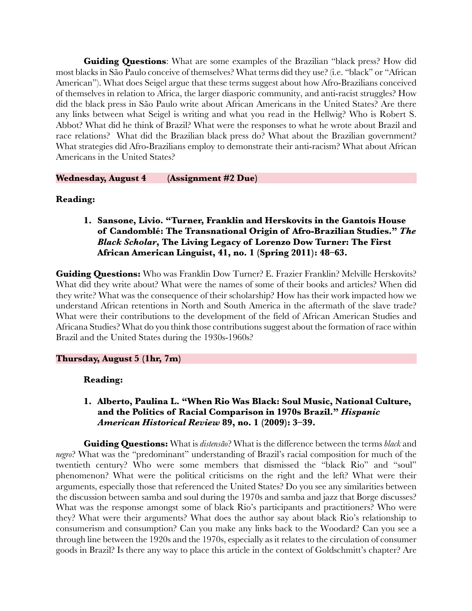**Guiding Questions**: What are some examples of the Brazilian "black press? How did most blacks in São Paulo conceive of themselves? What terms did they use? (i.e. "black" or "African American"). What does Seigel argue that these terms suggest about how Afro-Brazilians conceived of themselves in relation to Africa, the larger diasporic community, and anti-racist struggles? How did the black press in São Paulo write about African Americans in the United States? Are there any links between what Seigel is writing and what you read in the Hellwig? Who is Robert S. Abbot? What did he think of Brazil? What were the responses to what he wrote about Brazil and race relations? What did the Brazilian black press do? What about the Brazilian government? What strategies did Afro-Brazilians employ to demonstrate their anti-racism? What about African Americans in the United States?

**Wednesday, August 4 (Assignment #2 Due)**

### **Reading:**

**1. Sansone, Livio. "Turner, Franklin and Herskovits in the Gantois House of Candomblé: The Transnational Origin of Afro-Brazilian Studies."** *The Black Scholar***, The Living Legacy of Lorenzo Dow Turner: The First African American Linguist, 41, no. 1 (Spring 2011): 48–63.**

**Guiding Questions:** Who was Franklin Dow Turner? E. Frazier Franklin? Melville Herskovits? What did they write about? What were the names of some of their books and articles? When did they write? What was the consequence of their scholarship? How has their work impacted how we understand African retentions in North and South America in the aftermath of the slave trade? What were their contributions to the development of the field of African American Studies and Africana Studies? What do you think those contributions suggest about the formation of race within Brazil and the United States during the 1930s-1960s?

#### **Thursday, August 5 (1hr, 7m)**

#### **Reading:**

## **1. Alberto, Paulina L. "When Rio Was Black: Soul Music, National Culture, and the Politics of Racial Comparison in 1970s Brazil."** *Hispanic American Historical Review* **89, no. 1 (2009): 3–39.**

**Guiding Questions:** What is *distensão*? What is the difference between the terms *black* and *negro*? What was the "predominant" understanding of Brazil's racial composition for much of the twentieth century? Who were some members that dismissed the "black Rio" and "soul" phenomenon? What were the political criticisms on the right and the left? What were their arguments, especially those that referenced the United States? Do you see any similarities between the discussion between samba and soul during the 1970s and samba and jazz that Borge discusses? What was the response amongst some of black Rio's participants and practitioners? Who were they? What were their arguments? What does the author say about black Rio's relationship to consumerism and consumption? Can you make any links back to the Woodard? Can you see a through line between the 1920s and the 1970s, especially as it relates to the circulation of consumer goods in Brazil? Is there any way to place this article in the context of Goldschmitt's chapter? Are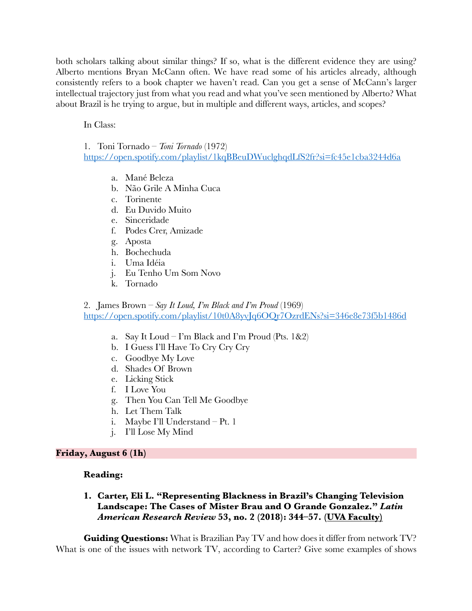both scholars talking about similar things? If so, what is the different evidence they are using? Alberto mentions Bryan McCann often. We have read some of his articles already, although consistently refers to a book chapter we haven't read. Can you get a sense of McCann's larger intellectual trajectory just from what you read and what you've seen mentioned by Alberto? What about Brazil is he trying to argue, but in multiple and different ways, articles, and scopes?

In Class:

1. Toni Tornado – *Toni Tornado* (1972) https://open.spotify.com/playlist/1kqBBeuDWuclghqdLfS2fr?si=fc45e1cba3244d6a

- a. Mané Beleza
- b. Não Grile A Minha Cuca
- c. Torinente
- d. Eu Duvido Muito
- e. Sinceridade
- f. Podes Crer, Amizade
- g. Aposta
- h. Bochechuda
- i. Uma Idéia
- j. Eu Tenho Um Som Novo
- k. Tornado

2. James Brown – *Say It Loud, I'm Black and I'm Proud* (1969) https://open.spotify.com/playlist/10t0A8yvJq6OQr7OzrdENs?si=346e8e73f5b1486d

- a. Say It Loud I'm Black and I'm Proud (Pts.  $1&2$ )
- b. I Guess I'll Have To Cry Cry Cry
- c. Goodbye My Love
- d. Shades Of Brown
- e. Licking Stick
- f. I Love You
- g. Then You Can Tell Me Goodbye
- h. Let Them Talk
- i. Maybe I'll Understand Pt. 1
- j. I'll Lose My Mind

### **Friday, August 6 (1h)**

### **Reading:**

# **1. Carter, Eli L. "Representing Blackness in Brazil's Changing Television Landscape: The Cases of Mister Brau and O Grande Gonzalez."** *Latin American Research Review* **53, no. 2 (2018): 344–57. (UVA Faculty)**

**Guiding Questions:** What is Brazilian Pay TV and how does it differ from network TV? What is one of the issues with network TV, according to Carter? Give some examples of shows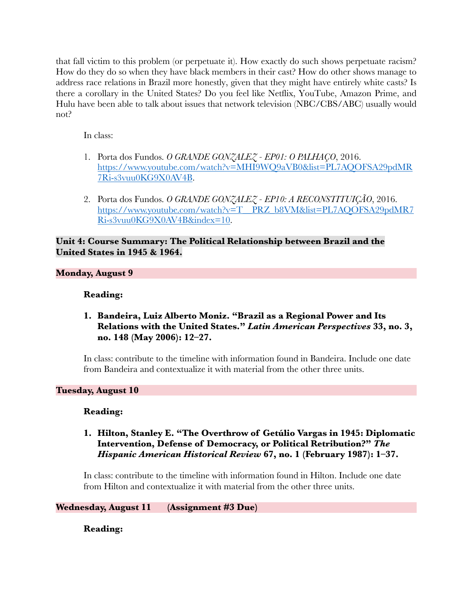that fall victim to this problem (or perpetuate it). How exactly do such shows perpetuate racism? How do they do so when they have black members in their cast? How do other shows manage to address race relations in Brazil more honestly, given that they might have entirely white casts? Is there a corollary in the United States? Do you feel like Netflix, YouTube, Amazon Prime, and Hulu have been able to talk about issues that network television (NBC/CBS/ABC) usually would not?

In class:

- 1. Porta dos Fundos. *O GRANDE GONZALEZ - EP01: O PALHAÇO*, 2016. https://www.youtube.com/watch?v=MHI9WQ9aVB0&list=PL7AQOFSA29pdMR 7Ri-s3vuu0KG9X0AV4B.
- 2. Porta dos Fundos. *O GRANDE GONZALEZ - EP10: A RECONSTITUIÇÃO*, 2016. https://www.youtube.com/watch?v=T\_\_PRZ\_b8VM&list=PL7AQOFSA29pdMR7 Ri-s3vuu0KG9X0AV4B&index=10.

**Unit 4: Course Summary: The Political Relationship between Brazil and the United States in 1945 & 1964.** 

## **Monday, August 9**

## **Reading:**

**1. Bandeira, Luiz Alberto Moniz. "Brazil as a Regional Power and Its Relations with the United States."** *Latin American Perspectives* **33, no. 3, no. 148 (May 2006): 12–27.**

In class: contribute to the timeline with information found in Bandeira. Include one date from Bandeira and contextualize it with material from the other three units.

### **Tuesday, August 10**

### **Reading:**

**1. Hilton, Stanley E. "The Overthrow of Getúlio Vargas in 1945: Diplomatic Intervention, Defense of Democracy, or Political Retribution?"** *The Hispanic American Historical Review* **67, no. 1 (February 1987): 1–37.**

In class: contribute to the timeline with information found in Hilton. Include one date from Hilton and contextualize it with material from the other three units.

**Wednesday, August 11 (Assignment #3 Due)**

**Reading:**